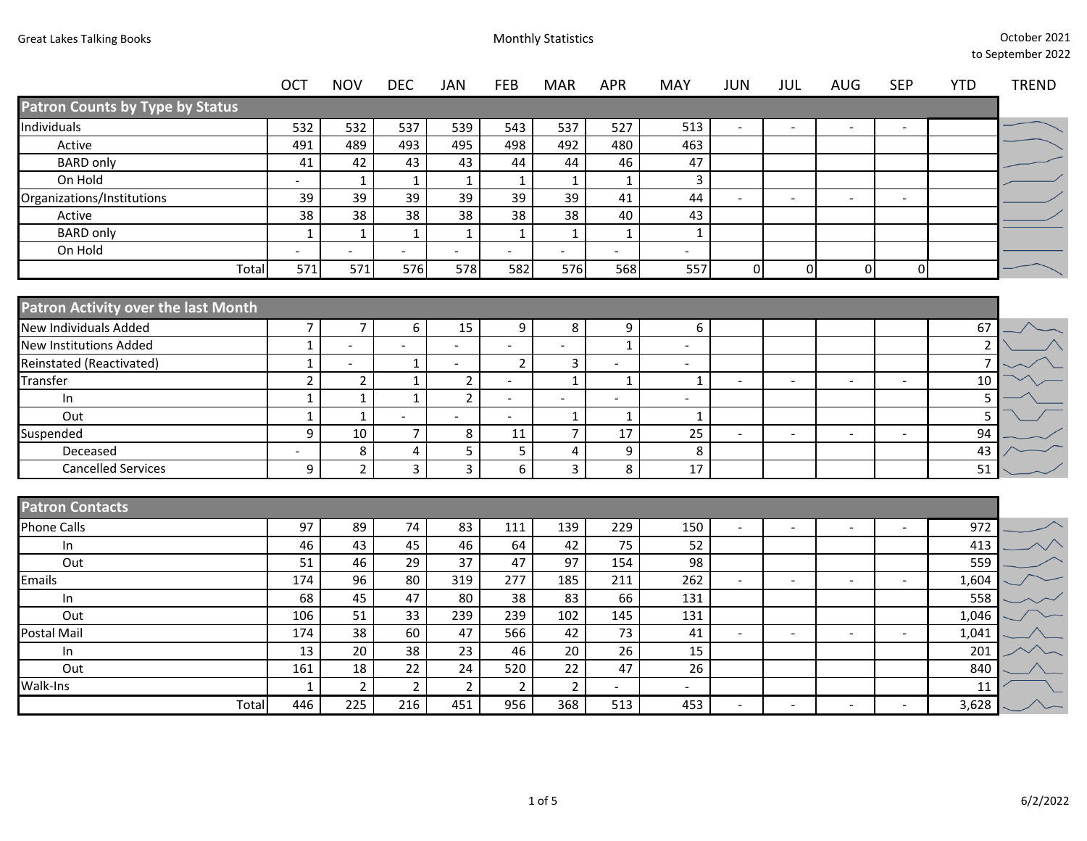|                                            | <b>OCT</b>        | <b>NOV</b>         | <b>DEC</b>              | <b>JAN</b>      | FEB            | <b>MAR</b>                     | <b>APR</b>               | <b>MAY</b>               | <b>JUN</b> | <b>JUL</b>     | AUG            | <b>SEP</b>               | <b>YTD</b>           | <b>TREND</b> |
|--------------------------------------------|-------------------|--------------------|-------------------------|-----------------|----------------|--------------------------------|--------------------------|--------------------------|------------|----------------|----------------|--------------------------|----------------------|--------------|
| <b>Patron Counts by Type by Status</b>     |                   |                    |                         |                 |                |                                |                          |                          |            |                |                |                          |                      |              |
| Individuals                                | 532               | 532                | 537                     | 539             | 543            | 537                            | 527                      | 513                      |            |                |                |                          |                      |              |
| Active                                     | 491               | 489                | 493                     | 495             | 498            | 492                            | 480                      | 463                      |            |                |                |                          |                      |              |
| <b>BARD only</b>                           | 41                | 42                 | 43                      | 43              | 44             | 44                             | 46                       | 47                       |            |                |                |                          |                      |              |
| On Hold                                    |                   | 1                  | $\mathbf 1$             | $\mathbf{1}$    | $\mathbf{1}$   | $\mathbf{1}$                   | $\mathbf{1}$             | $\mathsf{3}$             |            |                |                |                          |                      |              |
| Organizations/Institutions                 | 39                | 39                 | 39                      | 39              | 39             | 39                             | 41                       | 44                       |            |                |                |                          |                      |              |
| Active                                     | 38                | $\overline{38}$    | 38                      | 38              | 38             | 38                             | 40                       | 43                       |            |                |                |                          |                      |              |
| <b>BARD only</b>                           | $\mathbf{1}$      | $\mathbf{1}$       | $\mathbf{1}$            | $\mathbf{1}$    | $\mathbf{1}$   | $\mathbf{1}$                   | $\mathbf{1}$             | $\mathbf{1}$             |            |                |                |                          |                      |              |
| On Hold                                    |                   |                    | $\blacksquare$          |                 |                |                                | $\overline{\phantom{a}}$ | $\sim$                   |            |                |                |                          |                      |              |
| Total                                      | $\overline{571}$  | $\overline{571}$   | 576                     | 578             | 582            | 576                            | 568                      | $\overline{557}$         | $\Omega$   | $\mathbf 0$    | $\overline{0}$ | $\mathbf 0$              |                      |              |
| <b>Patron Activity over the last Month</b> |                   |                    |                         |                 |                |                                |                          |                          |            |                |                |                          |                      |              |
| <b>New Individuals Added</b>               |                   |                    |                         |                 |                |                                |                          |                          |            |                |                |                          |                      |              |
| <b>New Institutions Added</b>              | $\overline{7}$    | 7                  | 6                       | 15              | 9              | 8                              | 9                        | 6                        |            |                |                |                          | 67                   |              |
|                                            | $\mathbf{1}$      | $\blacksquare$     | $\blacksquare$          | $\blacksquare$  | $\blacksquare$ |                                | $\mathbf 1$              | $\overline{\phantom{a}}$ |            |                |                |                          | $\overline{2}$       |              |
| Reinstated (Reactivated)<br>Transfer       | $\mathbf{1}$      |                    | $\mathbf{1}$            | $\blacksquare$  | $\overline{2}$ | $\overline{3}$<br>$\mathbf{1}$ |                          | $\overline{\phantom{a}}$ |            |                |                |                          | $\overline{7}$<br>10 |              |
|                                            | $\overline{2}$    | $\overline{2}$     | $\mathbf 1$             | $\overline{2}$  | $\overline{a}$ |                                | $\mathbf 1$              | $\mathbf{1}$             |            | $\overline{a}$ |                | $\overline{\phantom{a}}$ |                      |              |
| In<br>Out                                  | $\mathbf{1}$      | $\mathbf{1}$       | $\mathbf{1}$            | $2^{\circ}$     | $\overline{a}$ |                                |                          |                          |            |                |                |                          | 5<br>5               |              |
| Suspended                                  | $\mathbf{1}$<br>9 | $\mathbf{1}$<br>10 | $\overline{7}$          | 8               | 11             | $\mathbf{1}$<br>$\overline{7}$ | $\mathbf{1}$<br>17       | $\mathbf{1}$<br>25       |            |                |                |                          | 94                   |              |
| Deceased                                   |                   | 8                  | $\overline{\mathbf{4}}$ | $\overline{5}$  | 5              | $\overline{4}$                 | 9                        | 8                        |            |                |                |                          | 43                   |              |
| <b>Cancelled Services</b>                  | 9                 | $\overline{2}$     | $\overline{3}$          | $\overline{3}$  | 6              | $\overline{3}$                 | 8                        | 17                       |            |                |                |                          | 51                   |              |
|                                            |                   |                    |                         |                 |                |                                |                          |                          |            |                |                |                          |                      |              |
| <b>Patron Contacts</b>                     |                   |                    |                         |                 |                |                                |                          |                          |            |                |                |                          |                      |              |
| <b>Phone Calls</b>                         | 97                | 89                 | 74                      | 83              | 111            | 139                            | 229                      | 150                      |            | $\overline{a}$ |                |                          | 972                  |              |
| In                                         | 46                | 43                 | 45                      | 46              | 64             | 42                             | 75                       | 52                       |            |                |                |                          | 413                  |              |
| Out                                        | 51                | 46                 | 29                      | 37              | 47             | 97                             | 154                      | 98                       |            |                |                |                          | 559                  |              |
| <b>Emails</b>                              | 174               | $\overline{96}$    | 80                      | 319             | 277            | 185                            | 211                      | 262                      | $\sim$     | $\blacksquare$ |                | $\blacksquare$           | 1,604                |              |
| In                                         | 68                | 45                 | 47                      | 80              | 38             | 83                             | 66                       | 131                      |            |                |                |                          | 558                  |              |
| Out                                        | 106               | 51                 | 33                      | 239             | 239            | 102                            | 145                      | 131                      |            |                |                |                          | 1,046                |              |
| Postal Mail                                | 174               | $\overline{38}$    | 60                      | 47              | 566            | 42                             | 73                       | 41                       |            | $\overline{a}$ |                |                          | 1,041                |              |
| In                                         | 13                | $\overline{20}$    | $\overline{38}$         | $\overline{23}$ | 46             | $\overline{20}$                | $\overline{26}$          | 15                       |            |                |                |                          | 201                  |              |
| Out                                        | 161               | 18                 | $\overline{22}$         | 24              | 520            | $\overline{22}$                | $\overline{47}$          | 26                       |            |                |                |                          | 840                  |              |
| Walk-Ins                                   | $\mathbf{1}$      | $\overline{2}$     | $\overline{2}$          | $\overline{2}$  | $\overline{2}$ | $\overline{2}$                 |                          |                          |            |                |                |                          | 11                   |              |
| Total                                      | 446               | $\overline{225}$   | 216                     | 451             | 956            | 368                            | 513                      | 453                      |            |                |                |                          | 3,628                |              |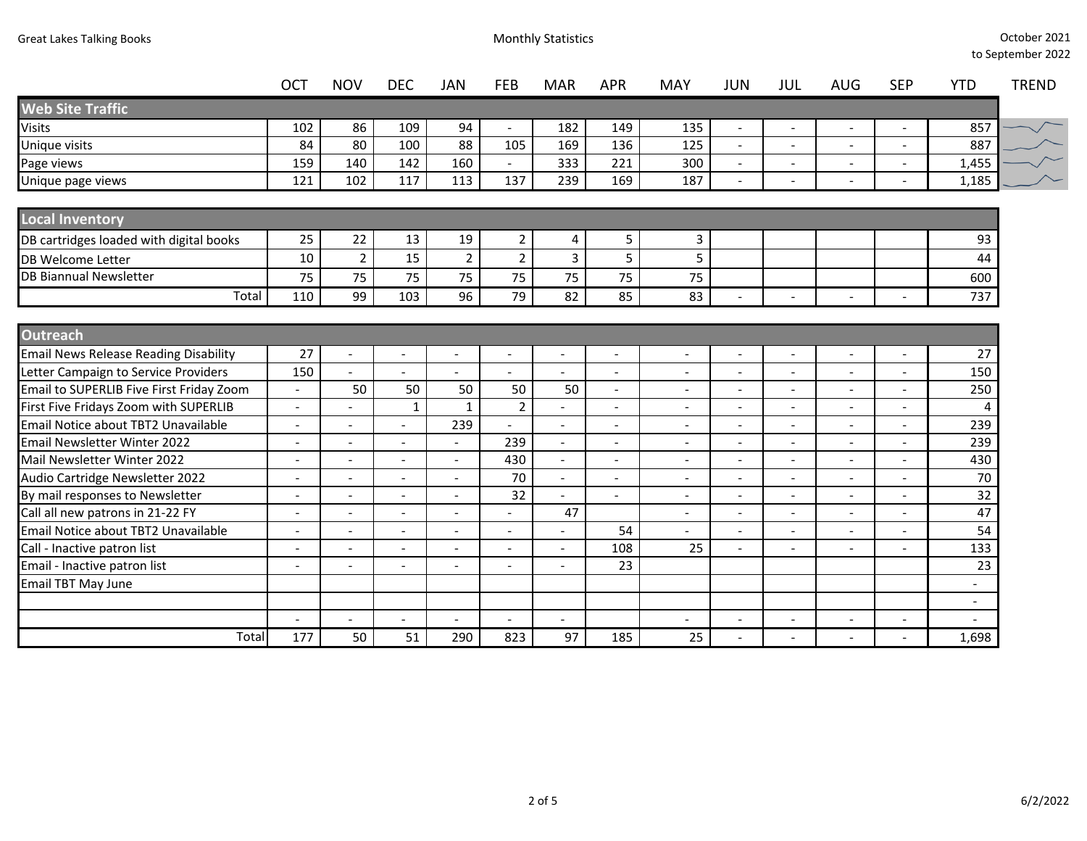|                                              | <b>OCT</b> | <b>NOV</b>               | <b>DEC</b>               | JAN                      | <b>FEB</b>               | <b>MAR</b>               | <b>APR</b>               | <b>MAY</b>               | <b>JUN</b>               | JUL                      | <b>AUG</b>               | <b>SEP</b>               | <b>YTD</b>               | <b>TREND</b> |
|----------------------------------------------|------------|--------------------------|--------------------------|--------------------------|--------------------------|--------------------------|--------------------------|--------------------------|--------------------------|--------------------------|--------------------------|--------------------------|--------------------------|--------------|
| <b>Web Site Traffic</b>                      |            |                          |                          |                          |                          |                          |                          |                          |                          |                          |                          |                          |                          |              |
| <b>Visits</b>                                | 102        | 86                       | 109                      | 94                       |                          | 182                      | 149                      | 135                      | $\overline{a}$           |                          |                          |                          | 857                      |              |
| Unique visits                                | 84         | 80                       | 100                      | 88                       | 105                      | 169                      | 136                      | 125                      | $\overline{\phantom{a}}$ | $\overline{\phantom{a}}$ | $\overline{\phantom{a}}$ | $\overline{\phantom{a}}$ | 887                      |              |
| Page views                                   | 159        | 140                      | 142                      | 160                      | $\blacksquare$           | 333                      | 221                      | 300                      | $\sim$                   | $\overline{\phantom{a}}$ | $\ddot{\phantom{a}}$     |                          | 1,455                    |              |
| Unique page views                            | 121        | 102                      | 117                      | 113                      | 137                      | 239                      | 169                      | 187                      | $\overline{a}$           | $\overline{\phantom{a}}$ |                          |                          | 1,185                    |              |
| <b>Local Inventory</b>                       |            |                          |                          |                          |                          |                          |                          |                          |                          |                          |                          |                          |                          |              |
| DB cartridges loaded with digital books      | 25         | 22                       | 13                       | 19                       | $\overline{2}$           | 4                        | 5                        | 3                        |                          |                          |                          |                          | 93                       |              |
| <b>DB Welcome Letter</b>                     | 10         | $\overline{2}$           | 15                       | $\overline{2}$           | $\overline{2}$           | 3                        | 5                        | 5                        |                          |                          |                          |                          | 44                       |              |
| <b>DB Biannual Newsletter</b>                | 75         | 75                       | 75                       | 75                       | 75                       | 75                       | 75                       | 75                       |                          |                          |                          |                          | 600                      |              |
| Total                                        | 110        | 99                       | 103                      | 96                       | 79                       | 82                       | 85                       | 83                       |                          |                          |                          |                          | 737                      |              |
|                                              |            |                          |                          |                          |                          |                          |                          |                          |                          |                          |                          |                          |                          |              |
| <b>Outreach</b>                              |            |                          |                          |                          |                          |                          |                          |                          |                          |                          |                          |                          |                          |              |
| <b>Email News Release Reading Disability</b> | 27         | $\blacksquare$           | $\blacksquare$           | $\overline{\phantom{a}}$ | $\blacksquare$           | $\blacksquare$           | $\overline{\phantom{a}}$ | $\blacksquare$           | $\blacksquare$           | $\overline{\phantom{a}}$ | $\sim$                   | $\overline{\phantom{a}}$ | 27                       |              |
| Letter Campaign to Service Providers         | 150        | $\overline{a}$           | $\overline{a}$           | $\overline{a}$           | $\overline{a}$           |                          |                          | $\sim$                   | $\sim$                   | $\overline{a}$           | $\ddot{\phantom{a}}$     | $\overline{\phantom{a}}$ | 150                      |              |
| Email to SUPERLIB Five First Friday Zoom     | $\sim$     | 50                       | 50                       | 50                       | 50                       | 50                       | $\sim$                   | $\overline{a}$           | $\sim$                   | $\overline{a}$           | $\sim$                   | $\sim$                   | 250                      |              |
| First Five Fridays Zoom with SUPERLIB        |            |                          | $\mathbf{1}$             | 1                        | $\overline{2}$           |                          |                          |                          | $\overline{a}$           | $\overline{\phantom{0}}$ | $\overline{\phantom{a}}$ |                          | 4                        |              |
| Email Notice about TBT2 Unavailable          |            |                          | $\overline{a}$           | 239                      |                          | $\blacksquare$           |                          | $\blacksquare$           | $\overline{a}$           | $\blacksquare$           |                          | $\overline{\phantom{a}}$ | 239                      |              |
| Email Newsletter Winter 2022                 |            |                          | $\overline{a}$           |                          | 239                      | $\overline{\phantom{a}}$ |                          | $\overline{\phantom{a}}$ | $\overline{\phantom{a}}$ | $\overline{\phantom{0}}$ |                          |                          | 239                      |              |
| Mail Newsletter Winter 2022                  |            |                          | $\overline{a}$           | $\overline{\phantom{a}}$ | 430                      | $\overline{\phantom{a}}$ |                          |                          | $\overline{a}$           | ÷                        |                          |                          | 430                      |              |
| Audio Cartridge Newsletter 2022              |            | $\overline{\phantom{a}}$ | $\overline{\phantom{a}}$ | $\overline{\phantom{a}}$ | 70                       | $\overline{\phantom{a}}$ |                          | $\overline{\phantom{a}}$ | $\overline{\phantom{a}}$ | $\overline{\phantom{a}}$ | $\overline{\phantom{a}}$ | $\overline{\phantom{a}}$ | 70                       |              |
| By mail responses to Newsletter              |            |                          | $\overline{a}$           | $\overline{\phantom{a}}$ | 32                       |                          |                          | $\overline{\phantom{a}}$ | $\blacksquare$           | $\overline{a}$           | $\overline{\phantom{a}}$ |                          | 32                       |              |
| Call all new patrons in 21-22 FY             | $\sim$     | $\overline{a}$           | $\overline{a}$           | $\overline{a}$           | $\overline{\phantom{a}}$ | 47                       |                          | $\sim$                   | $\overline{\phantom{a}}$ | $\overline{a}$           | $\overline{a}$           | $\overline{a}$           | 47                       |              |
| Email Notice about TBT2 Unavailable          |            |                          | $\overline{a}$           |                          | $\blacksquare$           |                          | 54                       |                          | $\overline{\phantom{0}}$ |                          |                          | $\overline{a}$           | 54                       |              |
| Call - Inactive patron list                  |            | $\overline{\phantom{a}}$ | $\overline{a}$           | $\blacksquare$           | $\overline{\phantom{a}}$ | $\overline{\phantom{a}}$ | 108                      | 25                       | $\sim$                   | $\overline{a}$           | $\overline{\phantom{a}}$ | $\overline{a}$           | 133                      |              |
| Email - Inactive patron list                 |            |                          |                          |                          |                          |                          | 23                       |                          |                          |                          |                          |                          | 23                       |              |
| <b>Email TBT May June</b>                    |            |                          |                          |                          |                          |                          |                          |                          |                          |                          |                          |                          | $\overline{\phantom{a}}$ |              |
|                                              |            |                          |                          |                          |                          |                          |                          |                          |                          |                          |                          |                          | $\overline{\phantom{a}}$ |              |
|                                              |            |                          | $\overline{a}$           | $\overline{a}$           | $\overline{a}$           |                          |                          |                          | $\overline{\phantom{a}}$ | $\overline{\phantom{a}}$ | $\overline{\phantom{a}}$ | $\overline{\phantom{a}}$ | $\blacksquare$           |              |
| Total                                        | 177        | 50                       | 51                       | 290                      | 823                      | 97                       | 185                      | 25                       |                          |                          |                          |                          | 1,698                    |              |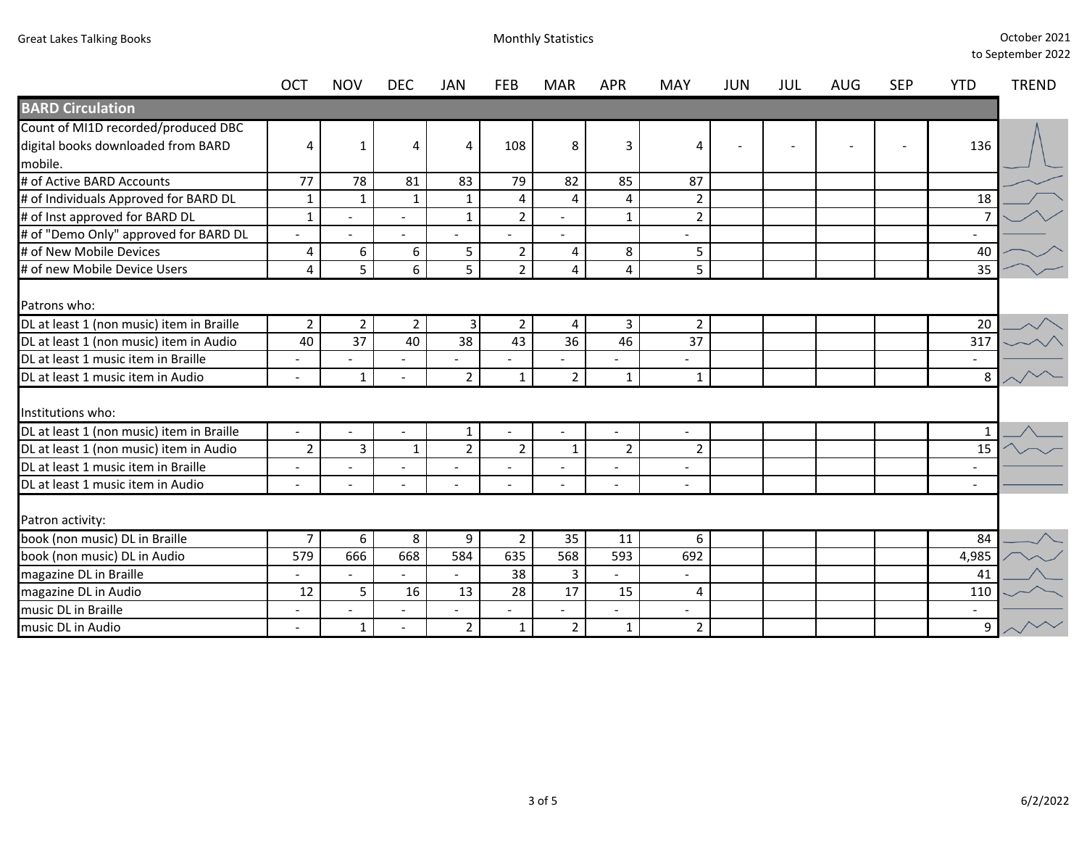|                                           | <b>OCT</b>               | <b>NOV</b>               | <b>DEC</b>               | JAN                     | <b>FEB</b>     | <b>MAR</b>     | <b>APR</b>               | MAY                      | JUN | JUL | AUG | <b>SEP</b> | <b>YTD</b>               | <b>TREND</b> |
|-------------------------------------------|--------------------------|--------------------------|--------------------------|-------------------------|----------------|----------------|--------------------------|--------------------------|-----|-----|-----|------------|--------------------------|--------------|
| <b>BARD Circulation</b>                   |                          |                          |                          |                         |                |                |                          |                          |     |     |     |            |                          |              |
| Count of MI1D recorded/produced DBC       |                          |                          |                          |                         |                |                |                          |                          |     |     |     |            |                          |              |
| digital books downloaded from BARD        | 4                        | 1                        | $\overline{4}$           | 4                       | 108            | 8              | 3                        | 4                        |     |     |     |            | 136                      |              |
| mobile.                                   |                          |                          |                          |                         |                |                |                          |                          |     |     |     |            |                          |              |
| # of Active BARD Accounts                 | 77                       | 78                       | 81                       | 83                      | 79             | 82             | 85                       | 87                       |     |     |     |            |                          |              |
| # of Individuals Approved for BARD DL     | 1                        | $\mathbf{1}$             | 1                        | $\mathbf{1}$            | 4              | 4              | $\overline{4}$           | $\overline{2}$           |     |     |     |            | 18                       |              |
| # of Inst approved for BARD DL            | $\mathbf{1}$             |                          |                          | $\mathbf{1}$            | $\overline{2}$ |                | $\mathbf{1}$             | $\overline{2}$           |     |     |     |            |                          |              |
| # of "Demo Only" approved for BARD DL     |                          |                          |                          |                         |                |                |                          |                          |     |     |     |            |                          |              |
| # of New Mobile Devices                   | 4                        | 6                        | 6                        | 5                       | $\overline{2}$ | 4              | 8                        | 5                        |     |     |     |            | 40                       |              |
| # of new Mobile Device Users              | $\overline{4}$           | 5                        | $6\overline{6}$          | 5                       | $\overline{2}$ | 4              | 4                        | 5                        |     |     |     |            | 35                       |              |
| Patrons who:                              |                          |                          |                          |                         |                |                |                          |                          |     |     |     |            |                          |              |
| DL at least 1 (non music) item in Braille | $\overline{2}$           | $\overline{2}$           | $\overline{2}$           | $\overline{\mathbf{3}}$ | $\overline{2}$ | 4              | 3                        | $\overline{2}$           |     |     |     |            | 20                       |              |
| DL at least 1 (non music) item in Audio   | 40                       | 37                       | 40                       | 38                      | 43             | 36             | 46                       | 37                       |     |     |     |            | 317                      |              |
| DL at least 1 music item in Braille       | $\overline{\phantom{0}}$ | $\overline{\phantom{a}}$ |                          |                         |                |                | $\overline{\phantom{a}}$ | $\overline{\phantom{a}}$ |     |     |     |            | $\sim$                   |              |
| DL at least 1 music item in Audio         |                          | $\mathbf{1}$             |                          | $\overline{2}$          | $\mathbf{1}$   | $\overline{2}$ | $\mathbf{1}$             | $\mathbf{1}$             |     |     |     |            | 8                        |              |
| Institutions who:                         |                          |                          |                          |                         |                |                |                          |                          |     |     |     |            |                          |              |
| DL at least 1 (non music) item in Braille |                          |                          |                          | 1                       |                |                |                          |                          |     |     |     |            |                          |              |
| DL at least 1 (non music) item in Audio   | $\overline{2}$           | $\overline{3}$           | $\mathbf{1}$             | $\overline{2}$          | $\overline{2}$ | $\mathbf{1}$   | $\overline{2}$           | $\overline{2}$           |     |     |     |            | 15                       |              |
| DL at least 1 music item in Braille       | $\overline{a}$           |                          | $\overline{\phantom{a}}$ |                         |                | $\sim$         | $\overline{a}$           |                          |     |     |     |            | $\overline{\phantom{a}}$ |              |
| DL at least 1 music item in Audio         |                          |                          |                          |                         |                |                |                          |                          |     |     |     |            | $\sim$                   |              |
| Patron activity:                          |                          |                          |                          |                         |                |                |                          |                          |     |     |     |            |                          |              |
| book (non music) DL in Braille            | $\overline{7}$           | 6                        | 8                        | 9                       | $\overline{2}$ | 35             | 11                       | 6                        |     |     |     |            | 84                       |              |
| book (non music) DL in Audio              | 579                      | 666                      | 668                      | 584                     | 635            | 568            | 593                      | 692                      |     |     |     |            | 4,985                    |              |
| magazine DL in Braille                    |                          |                          |                          |                         | 38             | 3              |                          | $\overline{\phantom{a}}$ |     |     |     |            | 41                       |              |
| magazine DL in Audio                      | 12                       | 5                        | 16                       | 13                      | 28             | 17             | 15                       | 4                        |     |     |     |            | 110                      |              |
| music DL in Braille                       | $\overline{\phantom{a}}$ |                          |                          |                         |                |                |                          | $\overline{\phantom{a}}$ |     |     |     |            | $\sim$                   |              |
| music DL in Audio                         |                          | $\mathbf{1}$             |                          | $\overline{2}$          | 1              | $\overline{2}$ | $\mathbf{1}$             | $\overline{2}$           |     |     |     |            | 9                        |              |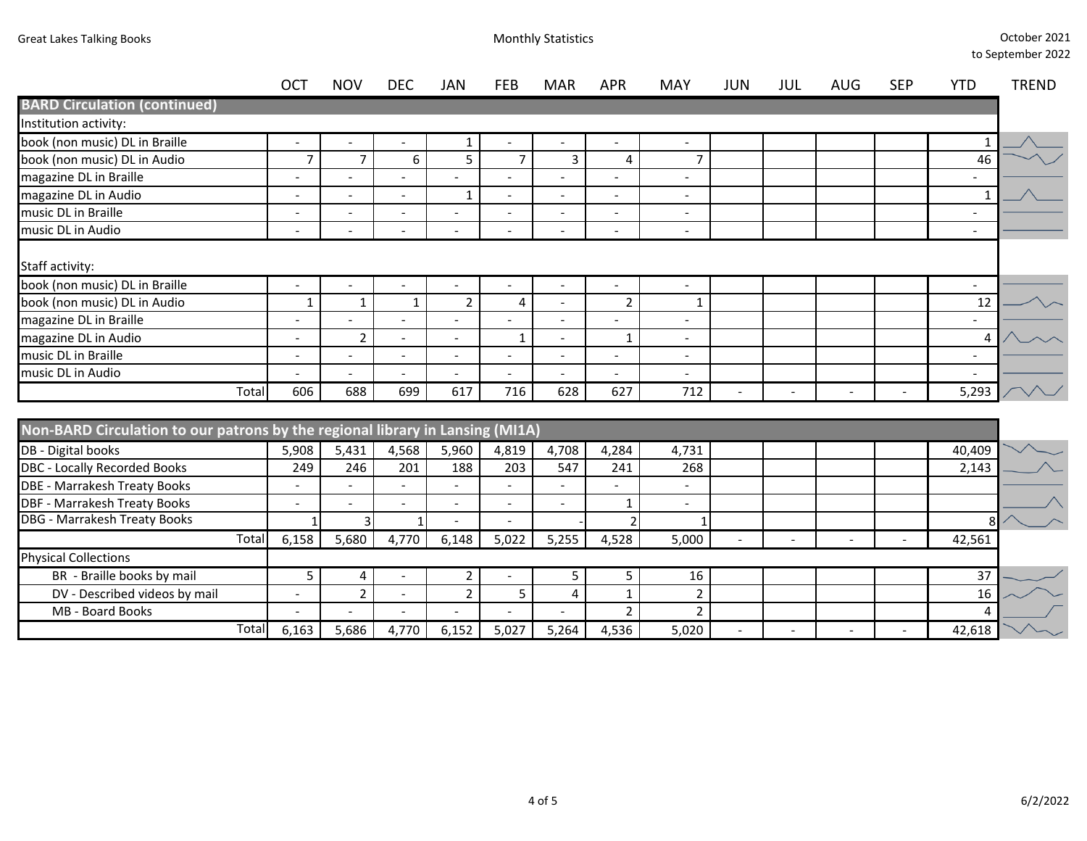**BARD Circulation (continued)**

|     |            |            |     |            |            |            |            |            |            |            |            |     | to september zuzz |  |  |  |
|-----|------------|------------|-----|------------|------------|------------|------------|------------|------------|------------|------------|-----|-------------------|--|--|--|
| OCT | <b>NOV</b> | <b>DEC</b> | JAN | <b>FEB</b> | <b>MAR</b> | <b>APR</b> | <b>MAY</b> | <b>JUN</b> | <b>JUL</b> | <b>AUG</b> | <b>SEP</b> | YTD | <b>TREND</b>      |  |  |  |
|     |            |            |     |            |            |            |            |            |            |            |            |     |                   |  |  |  |
|     |            |            |     |            |            |            |            |            |            |            |            |     |                   |  |  |  |
|     |            |            |     |            |            |            |            |            |            |            |            |     | $\lambda$         |  |  |  |

| Institution activity:                             |                          |                          |                          |                          |                          |                          |                          |                          |  |  |                          |  |
|---------------------------------------------------|--------------------------|--------------------------|--------------------------|--------------------------|--------------------------|--------------------------|--------------------------|--------------------------|--|--|--------------------------|--|
| book (non music) DL in Braille                    |                          |                          |                          |                          |                          |                          |                          |                          |  |  |                          |  |
| book (non music) DL in Audio                      |                          |                          | 6                        | 5                        |                          |                          |                          | ⇁                        |  |  | 46                       |  |
| magazine DL in Braille                            | $\overline{\phantom{0}}$ | $\overline{\phantom{0}}$ | $\overline{\phantom{a}}$ |                          |                          | $\overline{\phantom{a}}$ | $\overline{\phantom{a}}$ | $\overline{\phantom{a}}$ |  |  | $\overline{\phantom{a}}$ |  |
| magazine DL in Audio                              | $\overline{\phantom{0}}$ | $\overline{\phantom{a}}$ | $\sim$                   |                          | $\overline{\phantom{a}}$ | $\overline{\phantom{a}}$ | $\overline{\phantom{a}}$ | $\overline{\phantom{a}}$ |  |  |                          |  |
| music DL in Braille                               | $\overline{\phantom{0}}$ | $\overline{\phantom{0}}$ | $\sim$                   | $\overline{\phantom{a}}$ | $\overline{\phantom{a}}$ | $\overline{\phantom{0}}$ | $\overline{\phantom{a}}$ | $\overline{\phantom{a}}$ |  |  | -                        |  |
| music DL in Audio                                 | $\overline{\phantom{0}}$ |                          | ۰                        | ۰                        |                          | -                        | $\overline{\phantom{a}}$ | $\overline{\phantom{0}}$ |  |  | $\overline{\phantom{0}}$ |  |
| Staff activity:<br>book (non music) DL in Braille |                          |                          |                          |                          |                          |                          | $\overline{\phantom{a}}$ | $\overline{\phantom{a}}$ |  |  | $\overline{\phantom{a}}$ |  |
| book (non music) DL in Audio                      |                          |                          |                          |                          | 4                        | $\overline{\phantom{a}}$ | n                        |                          |  |  | 12                       |  |
| magazine DL in Braille                            | $\overline{\phantom{0}}$ |                          | $\overline{\phantom{a}}$ | $\overline{\phantom{a}}$ |                          | -                        | <b>.</b>                 | $\overline{\phantom{0}}$ |  |  | $\overline{\phantom{a}}$ |  |
| magazine DL in Audio                              | $\overline{\phantom{0}}$ |                          | $\overline{\phantom{0}}$ | $\overline{\phantom{a}}$ |                          | $\overline{\phantom{0}}$ |                          | $\overline{\phantom{a}}$ |  |  |                          |  |
| music DL in Braille                               | $\overline{\phantom{0}}$ | $\overline{\phantom{a}}$ | $\overline{\phantom{a}}$ | $\overline{\phantom{a}}$ |                          | ٠                        | $\overline{\phantom{a}}$ | $\overline{\phantom{0}}$ |  |  | $\overline{\phantom{a}}$ |  |
| music DL in Audio                                 | $\overline{\phantom{0}}$ | $\overline{\phantom{0}}$ | $\overline{\phantom{a}}$ | $\overline{\phantom{a}}$ | $\overline{\phantom{a}}$ | $\overline{\phantom{a}}$ | $\overline{\phantom{a}}$ | $\overline{\phantom{a}}$ |  |  | $\overline{\phantom{a}}$ |  |
| Total                                             | 606                      | 688                      | 699                      | 617                      | 716                      | 628                      | 627                      | 712                      |  |  | 5,293                    |  |

|                               | Non-BARD Circulation to our patrons by the regional library in Lansing (MI1A) |                          |       |                          |       |                          |       |       |       |  |  |  |  |        |  |
|-------------------------------|-------------------------------------------------------------------------------|--------------------------|-------|--------------------------|-------|--------------------------|-------|-------|-------|--|--|--|--|--------|--|
| DB - Digital books            |                                                                               | 5,908                    | 5,431 | 4,568                    | 5,960 | 4,819                    | 4,708 | 4,284 | 4,731 |  |  |  |  | 40,409 |  |
| DBC - Locally Recorded Books  |                                                                               | 249                      | 246   | 201                      | 188   | 203                      | 547   | 241   | 268   |  |  |  |  | 2,143  |  |
| DBE - Marrakesh Treaty Books  |                                                                               |                          |       |                          |       |                          |       |       |       |  |  |  |  |        |  |
| DBF - Marrakesh Treaty Books  |                                                                               |                          |       |                          |       |                          |       |       |       |  |  |  |  |        |  |
| DBG - Marrakesh Treaty Books  |                                                                               |                          |       |                          |       |                          |       |       |       |  |  |  |  |        |  |
|                               | Totall                                                                        | 6,158                    | 5,680 | 4.770                    | 6,148 | 5,022                    | 5,255 | 4,528 | 5,000 |  |  |  |  | 42,561 |  |
| <b>Physical Collections</b>   |                                                                               |                          |       |                          |       |                          |       |       |       |  |  |  |  |        |  |
| BR - Braille books by mail    |                                                                               |                          | 4     | $\overline{\phantom{a}}$ |       | $\overline{\phantom{0}}$ |       |       | 16    |  |  |  |  | 37     |  |
| DV - Described videos by mail |                                                                               |                          |       | $\overline{\phantom{a}}$ |       |                          |       |       |       |  |  |  |  | 16     |  |
| MB - Board Books              |                                                                               | $\overline{\phantom{a}}$ |       | $\overline{\phantom{a}}$ |       |                          |       |       |       |  |  |  |  |        |  |
|                               | Totall                                                                        | 6,163                    | 5,686 | 4.770                    | 6,152 | 5,027                    | 5,264 | 4,536 | 5,020 |  |  |  |  | 42,618 |  |